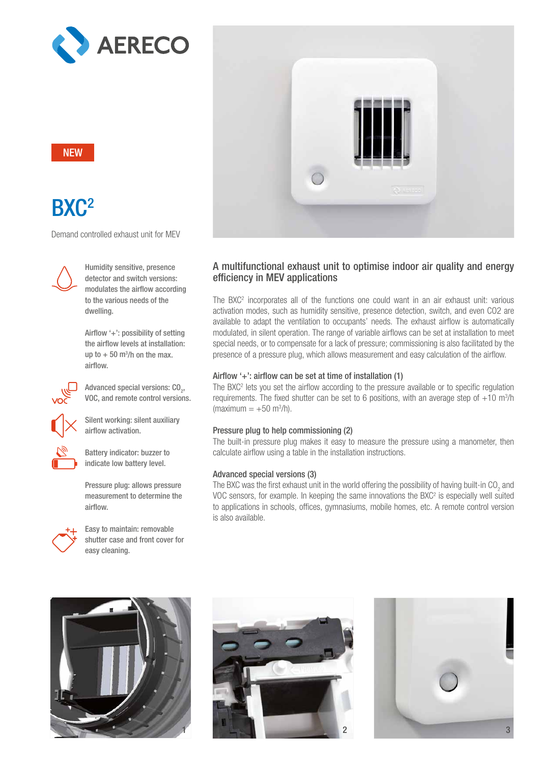

# **NEW**

# BX<sub>C</sub><sup>2</sup>

Demand controlled exhaust unit for MEV



Humidity sensitive, presence detector and switch versions: modulates the airflow according to the various needs of the dwelling.

Airflow '+': possibility of setting the airflow levels at installation: up to  $+50$  m<sup>3</sup>/h on the max. airflow.



Advanced special versions:  $\text{CO}_2^{\phantom{\dag}},$ VOC, and remote control versions.



Silent working: silent auxiliary airflow activation.



Battery indicator: buzzer to indicate low battery level.

Pressure plug: allows pressure measurement to determine the airflow.



Easy to maintain: removable shutter case and front cover for easy cleaning.



## A multifunctional exhaust unit to optimise indoor air quality and energy efficiency in MEV applications

The  $BXC^2$  incorporates all of the functions one could want in an air exhaust unit: various activation modes, such as humidity sensitive, presence detection, switch, and even CO2 are available to adapt the ventilation to occupants' needs. The exhaust airflow is automatically modulated, in silent operation. The range of variable airflows can be set at installation to meet special needs, or to compensate for a lack of pressure; commissioning is also facilitated by the presence of a pressure plug, which allows measurement and easy calculation of the airflow.

## Airflow '+': airflow can be set at time of installation (1)

The  $BXC^2$  lets you set the airflow according to the pressure available or to specific regulation requirements. The fixed shutter can be set to 6 positions, with an average step of  $+10$  m<sup>3</sup>/h  $(maximum = +50 m<sup>3</sup>/h).$ 

#### Pressure plug to help commissioning (2)

The built-in pressure plug makes it easy to measure the pressure using a manometer, then calculate airflow using a table in the installation instructions.

### Advanced special versions (3)

The BXC was the first exhaust unit in the world offering the possibility of having built-in CO<sub>2</sub> and VOC sensors, for example. In keeping the same innovations the BXC<sup>2</sup> is especially well suited to applications in schools, offices, gymnasiums, mobile homes, etc. A remote control version is also available.